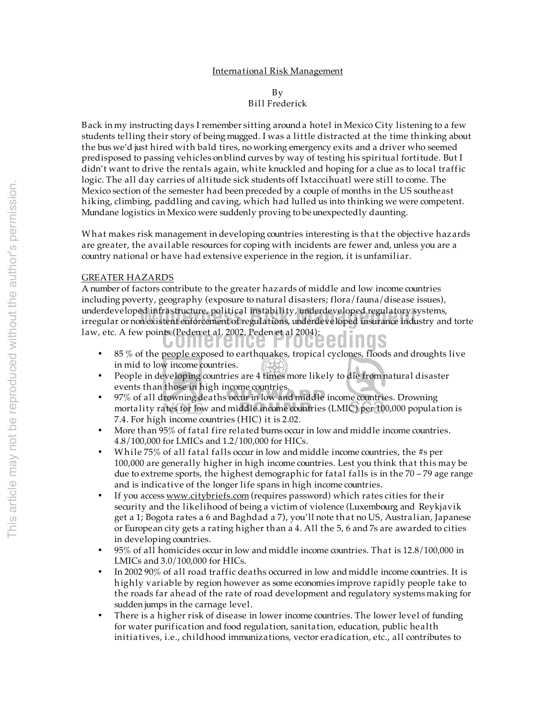By

Bill Frederick

Back in my instructing days I remember sitting around a hotel in Mexico City listening to a few students telling their story of being mugged. I was a little distracted at the time thinking about the bus we'd just hired with bald tires, no working emergency exits and a driver who seemed predisposed to passing vehicles on blind curves by way of testing his spiritual fortitude. But I didn't want to drive the rentals again, white knuckled and hoping for a clue as to local traffic logic. The all day carries of altitude sick students off Ixtaccihuatl were still to come. The Mexico section of the semester had been preceded by a couple of months in the US southeast h iking, climbing, paddling and caving, which had lulled us into thinking we were competent. Mundane logistics in Mexico were suddenly proving to be unexpectedly daunting.

What makes risk management in developing countries interesting is that the objective hazards are greater, the available resources for coping with incidents are fewer and, unless you are a country national or have had extensive experience in the region, it is unfamiliar.

# GREATER HAZARDS

law, etc. A few points (Peden et al. 2002, Peden et al 2004):<br> **Conference al 2004, Peden et al 2004):** underdeveloped infrastructure, political instability, underdeveloped regulatory systems,<br>irregular or non existent enforcement of regulations, underdeveloped insurance industry and torte A number of factors contribute to the greater hazards of middle and low income countries including poverty, geography (exposure to natural disasters; flora/fauna/disease issues), underdeveloped infrastructure, political instability, underdeveloped regulatory systems,

- 85 % of the people exposed to earthquakes, tropical cyclones, floods and droughts live in mid to low income countries.
- People in developing countries are 4 times more likely to die from natural disaster events than those in high income countries.
- 97% of all drowning deaths occur in low and middle income countries. Drowning mortality rates for low and middle income countries (LMIC) per 100,000 population is 7.4. For high income countries (HIC) it is 2.02.
- More than 95% of fatal fire related burns occur in low and middle income countries. 4.8/100,000 for LMICs and 1.2/100,000 for HICs.
- Wh ile 75% of all fatal falls occur in low and middle income countries, the #s per 100,000 are generally higher in high income countries. Lest you think that this may be due to extreme sports, the highest demographic for fatal falls is in the 70 – 79 age range and is indicative of the longer life spans in high income countries.
- If you access www.citybriefs.com (requires password) which rates cities for their security and the likelihood of being a victim of violence (Luxembourg and Reykjavik get a 1; Bogota rates a 6 and Baghdad a 7), you'll note that no US, Australian, Japanese or European city gets a rating higher than a 4. All the 5, 6 and 7s are awarded to cities in developing countries.
- 95% of all homicides occur in low and middle income countries. That is 12.8/100,000 in LMICs and 3.0/100,000 for HICs.
- In 2002 90% of all road traffic deaths occurred in low and middle income countries. It is h ighly variable by region however as some economies improve rapidly people take to the roads far ahead of the rate of road development and regulatory systems making for sudden jumps in the carnage level.
- There is a higher risk of disease in lower income countries. The lower level of funding for water purification and food regulation, sanitation, education, public health initiatives, i.e., childhood immunizations, vector eradication, etc., all contributes to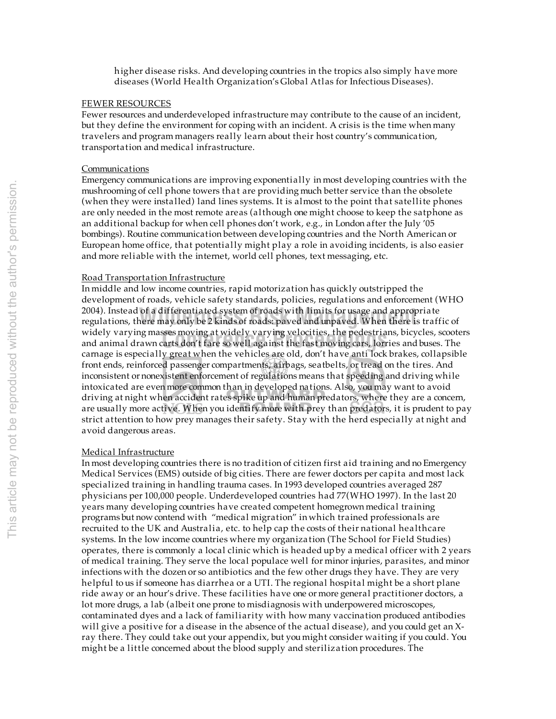h igher disease risks. And developing countries in the tropics also simply have more diseases (World Health Organization's Global Atlas for Infectious Diseases).

### FEWER RESOURCES

Fewer resources and underdeveloped infrastructure may contribute to the cause of an incident, but they define the environment for coping with an incident. A crisis is the time when many travelers and program managers really learn about their host country's communication, transportation and medical infrastructure.

## **Communications**

Emergency communications are improving exponentially in most developing countries with the mushrooming of cell phone towers that are providing much better service than the obsolete (when they were installed) land lines systems. It is almost to the point that satellite phones are only needed in the most remote areas (although one might choose to keep the satphone as an additional backup for when cell phones don't work, e.g., in London after the July '05 bombings). Routine communication between developing countries and the North American or European home office, that potentially might play a role in avoiding incidents, is also easier and more reliable with the internet, world cell phones, text messaging, etc.

#### Road Transportation Infrastructure

widely varying masses moving at widely varying velocities, the pedestrians, bicycles, scoote<br>and animal drawn carts don't fare so well against the fast moving cars, lorries and buses. The 2004). Instead of a differentiated system of roads with limits for usage and appropriate<br>regulations, there may only be 2 kinds of roads: paved and unpaved. When there is traffic of In middle and low income countries, rapid motorization has quickly outstripped the development of roads, vehicle safety standards, policies, regulations and enforcement (WHO 2004). Instead of a differentiated system of roads with limits for usage and appropriate widely varying masses moving at widely varying velocities, the pedestrians, bicycles, scooters carnage is especially great when the vehicles are old, don't have anti lock brakes, collapsible front ends, reinforced passenger compartments, airbags, seatbelts, or tread on the tires. And inconsistent or nonexistent enforcement of regulations means that speeding and driving while intoxicated are even more common than in developed nations. Also, you may want to avoid driving at night when accident rates spike up and human predators, where they are a concern, are usually more active. When you identify more with prey than predators, it is prudent to pay strict attention to how prey manages their safety. Stay with the herd especially at night and avoid dangerous areas.

# Medical Infrastructure

In most developing countries there is no tradition of citizen first aid training and no Emergency Medical Services (EMS) outside of big cities. There are fewer doctors per capita and most lack specialized training in handling trauma cases. In 1993 developed countries averaged 287 physicians per 100,000 people. Underdeveloped countries had 77(WHO 1997). In the last 20 years many developing countries have created competent homegrown medical training programs but now contend with "medical migration" in which trained professionals are recruited to the UK and Australia, etc. to help cap the costs of their national healthcare systems. In the low income countries where my organization (The School for Field Studies) operates, there is commonly a local clinic which is headed up by a medical officer with 2 years of medical training. They serve the local populace well for minor injuries, parasites, and minor infections with the dozen or so antibiotics and the few other drugs they have. They are very helpful to us if someone has diarrhea or a UTI. The regional hospital might be a short plane ride away or an hour's drive. These facilities have one or more general practitioner doctors, a lot more drugs, a lab (albeit one prone to misdiagnosis with underpowered microscopes, contaminated dyes and a lack of familiarity with how many vaccination produced antibodies will give a positive for a disease in the absence of the actual disease), and you could get an Xray there. They could take out your appendix, but you might consider waiting if you could. You might be a little concerned about the blood supply and sterilization procedures. The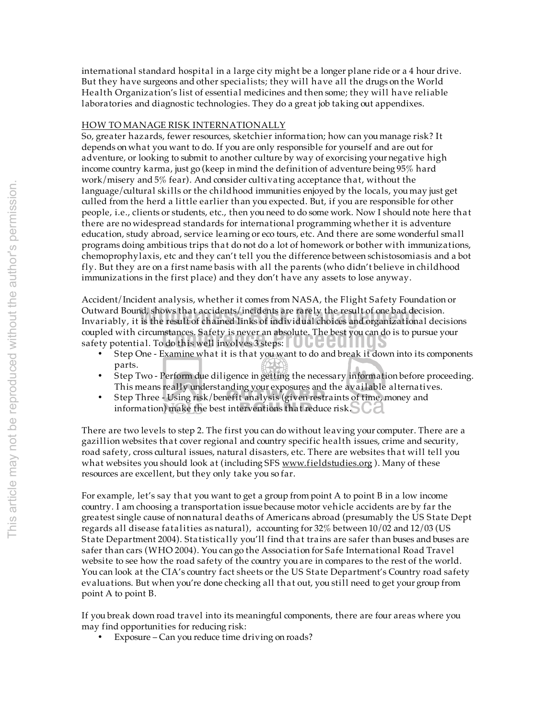international standard hospital in a large city might be a longer plane ride or a 4 hour drive. But they have surgeons and other specialists; they will have all the drugs on the World Health Organization's list of essential medicines and then some; they will have reliable laboratories and diagnostic technologies. They do a great job taking out appendixes.

# HOW TO MANAGE RISK INTERNATIONALLY

So, greater hazards, fewer resources, sketchier information; how can you manage risk? It depends on what you want to do. If you are only responsible for yourself and are out for adventure, or looking to submit to another culture by way of exorcising your negative high income country karma, just go (keep in mind the definition of adventure being 95% hard work/misery and 5% fear). And consider cultivating acceptance that, without the language/cultural skills or the childhood immunities enjoyed by the locals, you may just get culled from the herd a little earlier than you expected. But, if you are responsible for other people, i.e., clients or students, etc., then you need to do some work. Now I should note here that there are no widespread standards for international programming whether it is adventure education, study abroad, service learning or eco tours, etc. And there are some wonderful small programs doing ambitious trips that do not do a lot of homework or bother with immunizations, chemoprophylaxis, etc and they can't tell you the difference between schistosomiasis and a bot fly. But they are on a first name basis with all the parents (who didn't believe in childhood immunizations in the first place) and they don't have any assets to lose anyway.

coupled with circumstances. Safety is never an absolute. The best you can do is to pursue your safety potential. To do this well involves 3 steps:  $\Box$ Outward Bound, shows that accidents/incidents are rarely the result of one bad decision.<br>Invariably, it is the result of chained links of individual choices and organizational decisions Accident/Incident analysis, whether it comes from NASA, the Flight Safety Foundation or Outward Bound, shows that accidents/incidents are rarely the result of one bad decision. safety potential. To do this well involves 3 steps:  $\Box$   $\Box$ 

- Step One Examine what it is that you want to do and break it down into its components parts.
- Step Two Perform due diligence in getting the necessary information before proceeding. This means really understanding your exposures and the available alternatives.
- Step Three Using risk/benefit analysis (given restraints of time, money and information) make the best interventions that reduce risk.  $\bigcirc$  d

There are two levels to step 2. The first you can do without leaving your computer. There are a gazillion websites that cover regional and country specific health issues, crime and security, road safety, cross cultural issues, natural disasters, etc. There are websites that will tell you what websites you should look at (including SFS www.fieldstudies.org). Many of these resources are excellent, but they only take you so far.

For example, let's say that you want to get a group from point A to point B in a low income country. I am choosing a transportation issue because motor vehicle accidents are by far the greatest single cause of non natural deaths of Americans abroad (presumably the US State Dept regards all disease fatalities as natural), accounting for 32% between 10/02 and 12/03 (US State Department 2004). Statistically you'll find that trains are safer than buses and buses are safer than cars (WHO 2004). You can go the Association for Safe International Road Travel website to see how the road safety of the country you are in compares to the rest of the world. You can look at the CIA's country fact sheets or the US State Department's Country road safety evaluations. But when you're done checking all that out, you still need to get your group from point A to point B.

If you break down road travel into its meaningful components, there are four areas where you may find opportunities for reducing risk:

• Exposure – Can you reduce time driving on roads?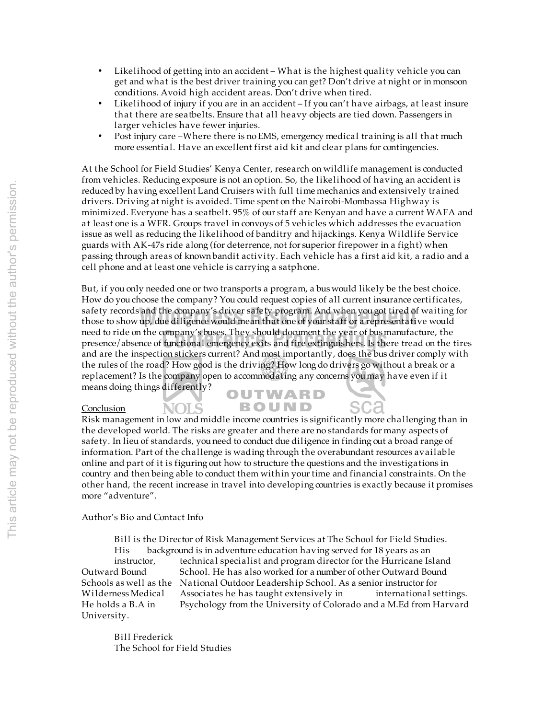- Likelihood of getting into an accident What is the highest quality vehicle you can get and what is the best driver training you can get? Don't drive at night or in monsoon conditions. Avoid high accident areas. Don't drive when tired.
- Likelihood of injury if you are in an accident If you can't have airbags, at least insure that there are seatbelts. Ensure that all heavy objects are tied down. Passengers in larger vehicles have fewer injuries.
- Post injury care –Where there is no EMS, emergency medical training is all that much more essential. Have an excellent first aid kit and clear plans for contingencies.

At the School for Field Studies' Kenya Center, research on wildlife management is conducted from vehicles. Reducing exposure is not an option. So, the likelihood of having an accident is reduced by having excellent Land Cruisers with full time mechanics and extensively trained drivers. Driving at night is avoided. Time spent on the Nairobi-Mombassa Highway is minimized. Everyone has a seatbelt. 95% of our staff are Kenyan and have a current WAFA and at least one is a WFR. Groups travel in convoys of 5 veh icles which addresses the evacuation issue as well as reducing the likelihood of banditry and hijackings. Kenya Wildlife Service guards with AK-47s ride along (for deterrence, not for superior firepower in a fight) when passing through areas of known bandit activity. Each vehicle has a first aid kit, a radio and a cell phone and at least one vehicle is carrying a satphone.

But, if you only needed one or two transports a program, a bus would likely be the best choice. How do you choose the company? You could request copies of all current insurance certificates, safety records and the company's driver safety program. And when you got tired of waiting for safety records and the company's driver safety program. And when you got tired of waiting<br>those to show up, due diligence would mean that one of your staff or a representative would need to ride on the company's buses. They should document the year of bus manufacture, the need to ride on the company's buses. They should document the year of bus manufacture, the<br>presence/absence of functional emergency exits and fire extinguishers. Is there tread on the tires and are the inspection stickers current? And most importantly, does the bus driver comply with the rules of the road? How good is the driving? How long do drivers go without a break or a replacement? Is the company open to accommodating any concerns you may have even if it means doing things differently? OUTWARD

### **Conclusion**

**NOLS** Risk management in low and middle income countries is significantly more challenging than in the developed world. The risks are greater and there are no standards for many aspects of safety. In lieu of standards, you need to conduct due diligence in finding out a broad range of information. Part of the challenge is wading through the overabundant resources available online and part of it is figuring out how to structure the questions and the investigations in country and then being able to conduct them within your time and financial constraints. On the other hand, the recent increase in travel into developing countries is exactly because it promises more "adventure".

**BOUND** 

Author's Bio and Contact Info

Bill is the Director of Risk Management Services at The School for Field Studies. His background is in adventure education having served for 18 years as an instructor, technical specialist and program director for the Hurricane Island<br>Outward Bound School. He has also worked for a number of other Outward Bound School. He has also worked for a number of other Outward Bound Schools as well as the National Outdoor Leadership School. As a senior instructor for Wilderness Medical Associates he has taught extensively in international settings. He holds a B.A in Psychology from the University of Colorado and a M.Ed from Harvard University.

Bill Frederick The School for Field Studies